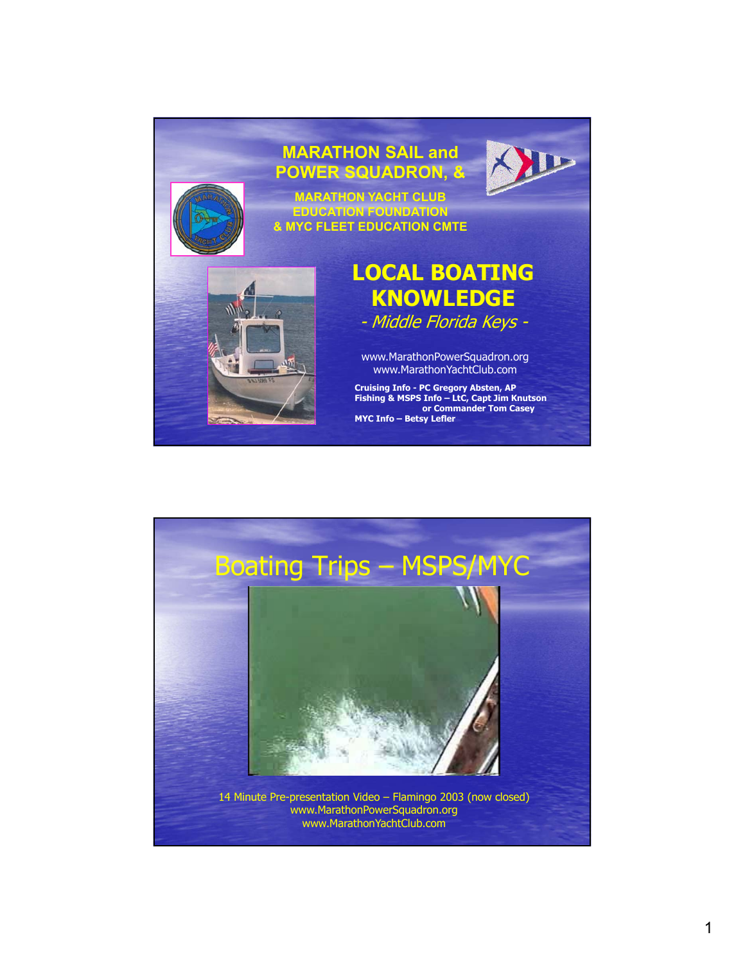

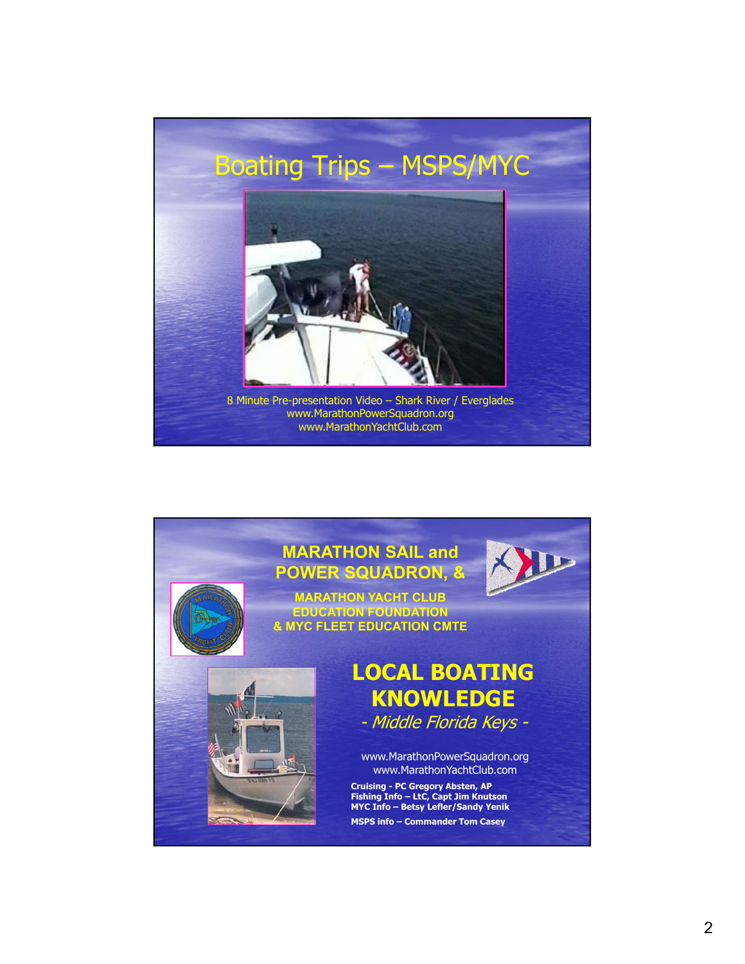

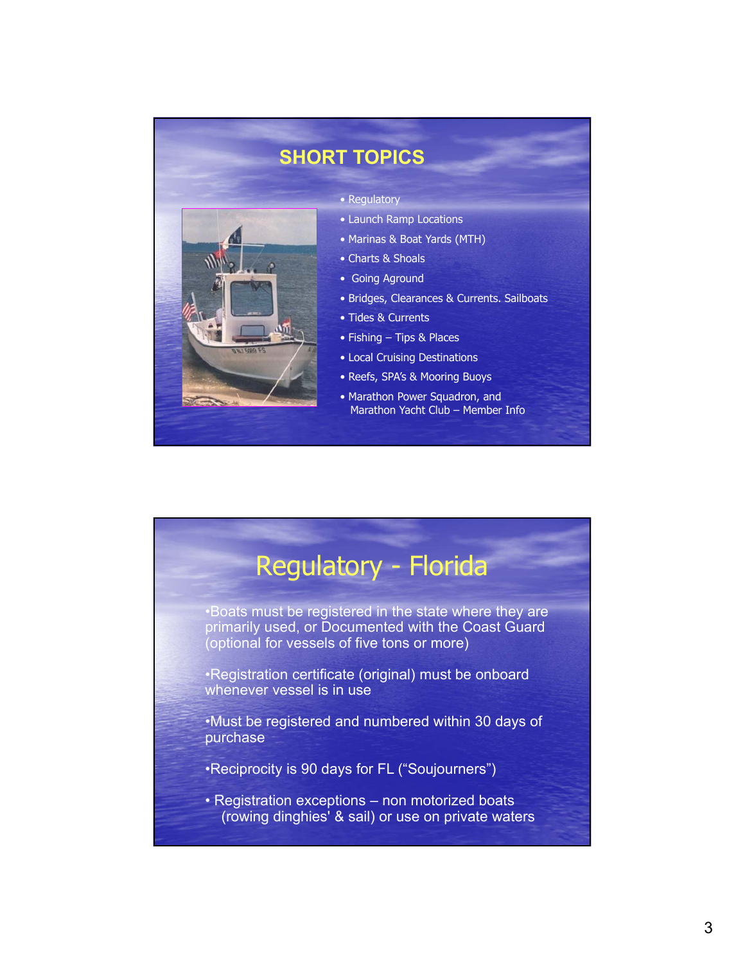

#### **SHORT TOPICS**

- Regulatory
- Launch Ramp Locations
- Marinas & Boat Yards (MTH)
- Charts & Shoals
- Going Aground
- Bridges, Clearances & Currents. Sailboats
- Tides & Currents
- Fishing Tips & Places
- Local Cruising Destinations
- Reefs, SPA's & Mooring Buoys
- Marathon Power Squadron, and Marathon Yacht Club – Member Info

# Regulatory - Florida

•Boats must be registered in the state where they are primarily used, or Documented with the Coast Guard (optional for vessels of five tons or more)

•Registration certificate (original) must be onboard whenever vessel is in use

•Must be registered and numbered within 30 days of purchase

- •Reciprocity is 90 days for FL ("Soujourners")
- Registration exceptions non motorized boats (rowing dinghies' & sail) or use on private waters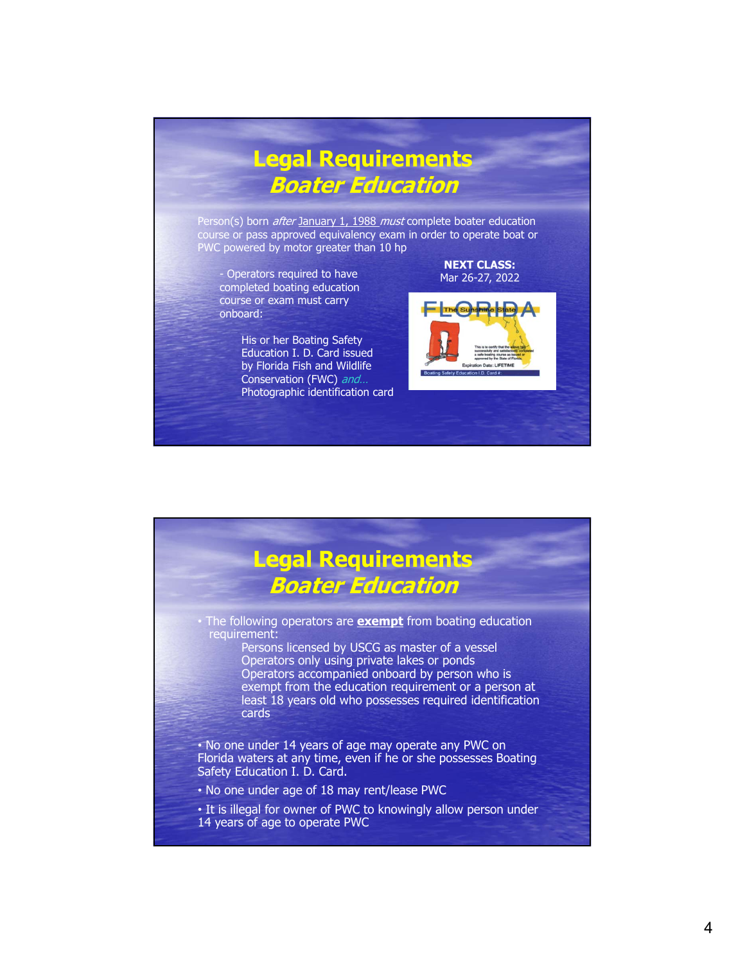### **Legal Requirements Boater Education**

Person(s) born *after* January 1, 1988 must complete boater education course or pass approved equivalency exam in order to operate boat or PWC powered by motor greater than 10 hp

- Operators required to have completed boating education course or exam must carry onboard:

> His or her Boating Safety Education I. D. Card issued by Florida Fish and Wildlife Conservation (FWC) and... Photographic identification card

# The Suns

**NEXT CLASS:** Mar 26-27, 2022

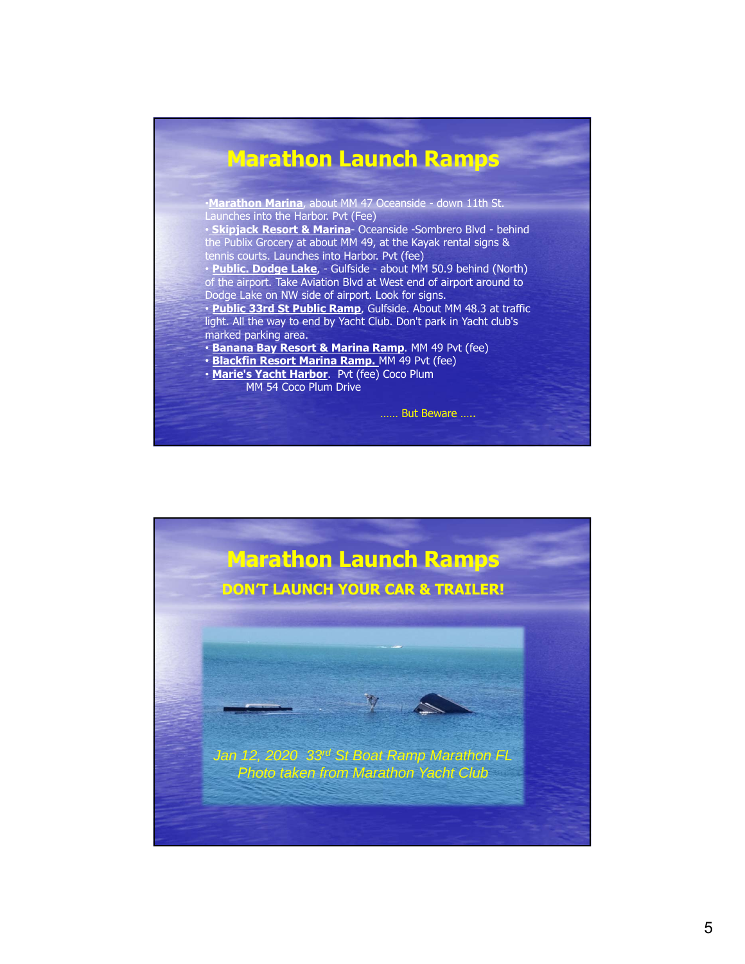#### **Marathon Launch Ramps**

•**Marathon Marina**, about MM 47 Oceanside - down 11th St. Launches into the Harbor. Pvt (Fee)

• **Skipjack Resort & Marina**- Oceanside -Sombrero Blvd - behind the Publix Grocery at about MM 49, at the Kayak rental signs & tennis courts. Launches into Harbor. Pvt (fee)

• **Public. Dodge Lake**, - Gulfside - about MM 50.9 behind (North) of the airport. Take Aviation Blvd at West end of airport around to Dodge Lake on NW side of airport. Look for signs.

• **Public 33rd St Public Ramp**, Gulfside. About MM 48.3 at traffic light. All the way to end by Yacht Club. Don't park in Yacht club's marked parking area.

• **Banana Bay Resort & Marina Ramp**. MM 49 Pvt (fee)

- **Blackfin Resort Marina Ramp.** MM 49 Pvt (fee)
- **Marie's Yacht Harbor**. Pvt (fee) Coco Plum
	- MM 54 Coco Plum Drive

…… But Beware …..

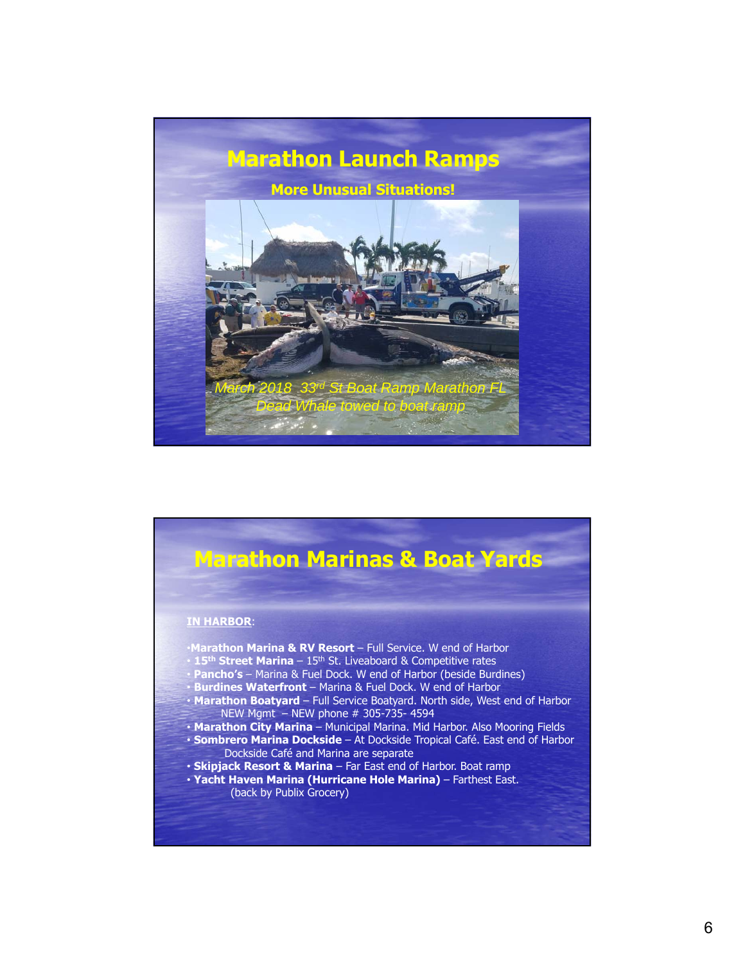

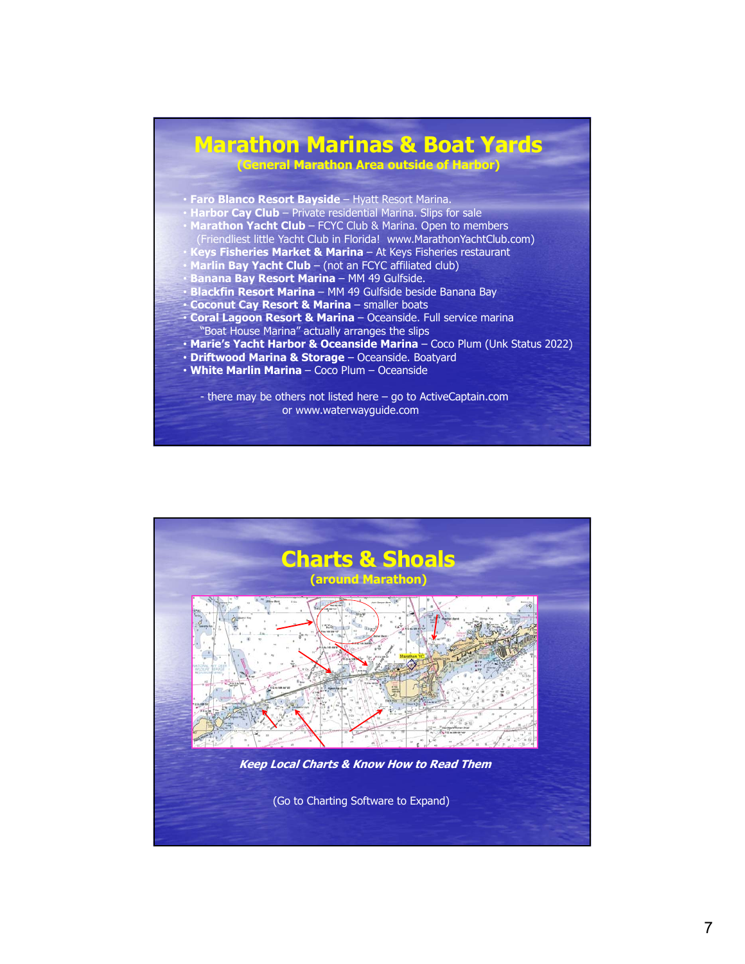#### **Marathon Marinas & Boat Yards (General Marathon Area outside of Harbor)**

- **Faro Blanco Resort Bayside**  Hyatt Resort Marina.
- Harbor Cay Club Private residential Marina. Slips for sale
- **Marathon Yacht Club**  FCYC Club & Marina. Open to members
- (Friendliest little Yacht Club in Florida! www.MarathonYachtClub.com) • **Keys Fisheries Market & Marina** – At Keys Fisheries restaurant
- **Marlin Bay Yacht Club**  (not an FCYC affiliated club)
- **Banana Bay Resort Marina**  MM 49 Gulfside.
- **Blackfin Resort Marina**  MM 49 Gulfside beside Banana Bay
- **Coconut Cay Resort & Marina**  smaller boats
- **Coral Lagoon Resort & Marina**  Oceanside. Full service marina "Boat House Marina" actually arranges the slips
- **Marie's Yacht Harbor & Oceanside Marina**  Coco Plum (Unk Status 2022)
- **Driftwood Marina & Storage** Oceanside. Boatyard
- **White Marlin Marina**  Coco Plum Oceanside

- there may be others not listed here – go to ActiveCaptain.com or www.waterwayguide.com

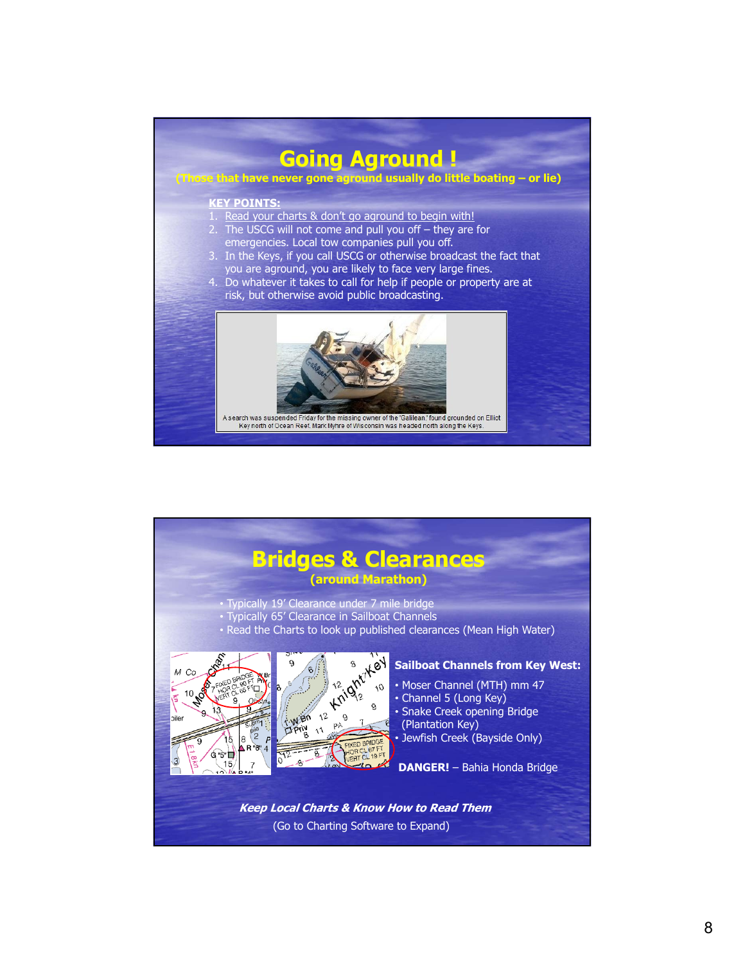

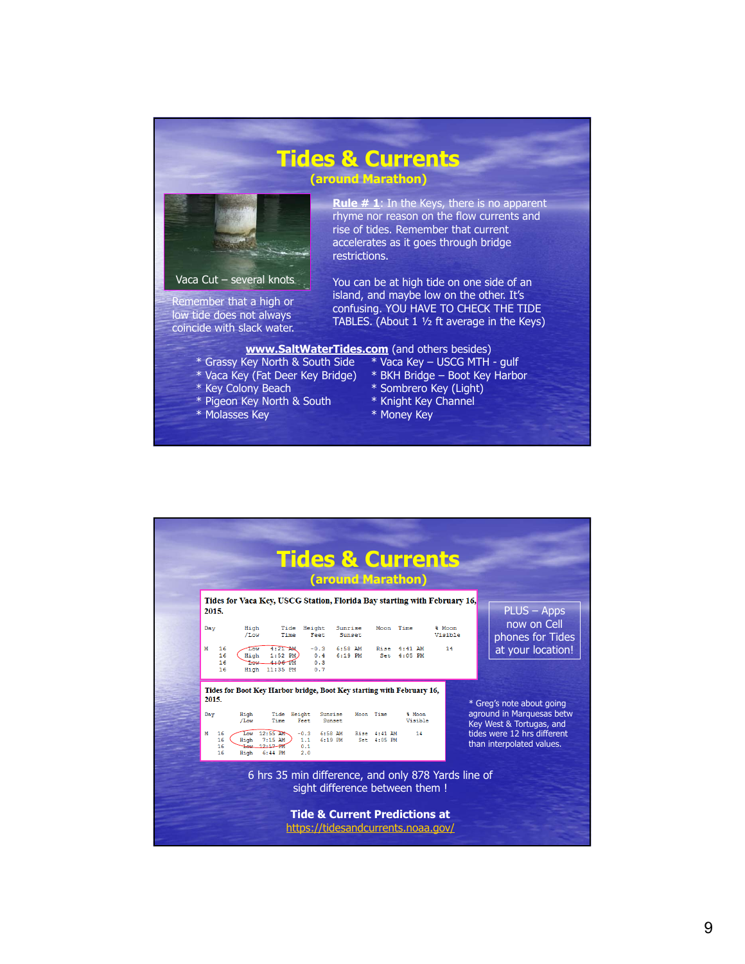#### **Tides & Currents**

**(around Marathon)**



Remember that a high or low tide does not always coincide with slack water. **Rule # 1**: In the Keys, there is no apparent rhyme nor reason on the flow currents and rise of tides. Remember that current accelerates as it goes through bridge restrictions.

You can be at high tide on one side of an island, and maybe low on the other. It's confusing. YOU HAVE TO CHECK THE TIDE TABLES. (About 1 ½ ft average in the Keys)

#### **www.SaltWaterTides.com** (and others besides)

- 
- 
- \* Key Colony Beach \* Sombrero Key (Light)
- \* Pigeon Key North & South \* Knight Key Channel
- \* Molasses Key \* Money Key
- 
- \* Grassy Key North & South Side \* Vaca Key USCG MTH gulf
	- \* BKH Bridge Boot Key Harbor
	-
	-
	-

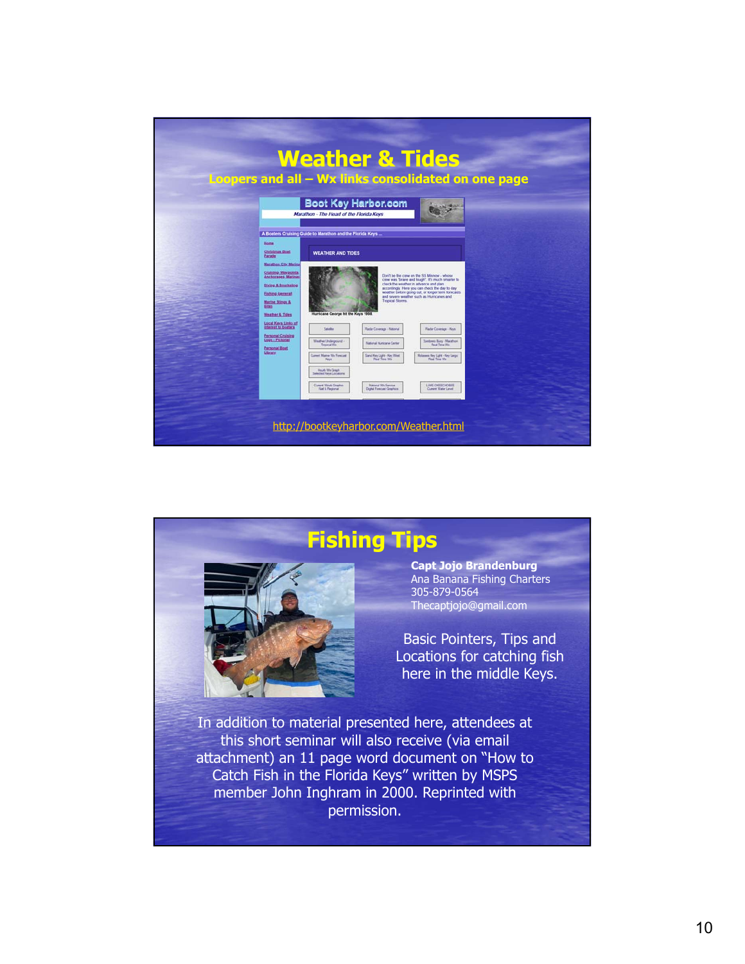



10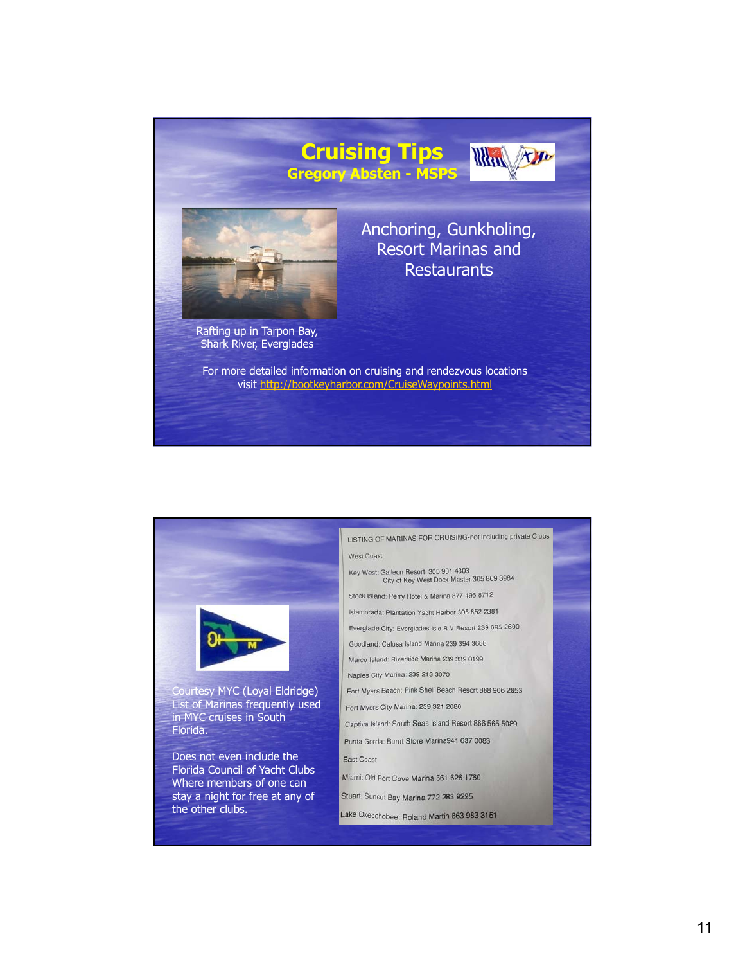

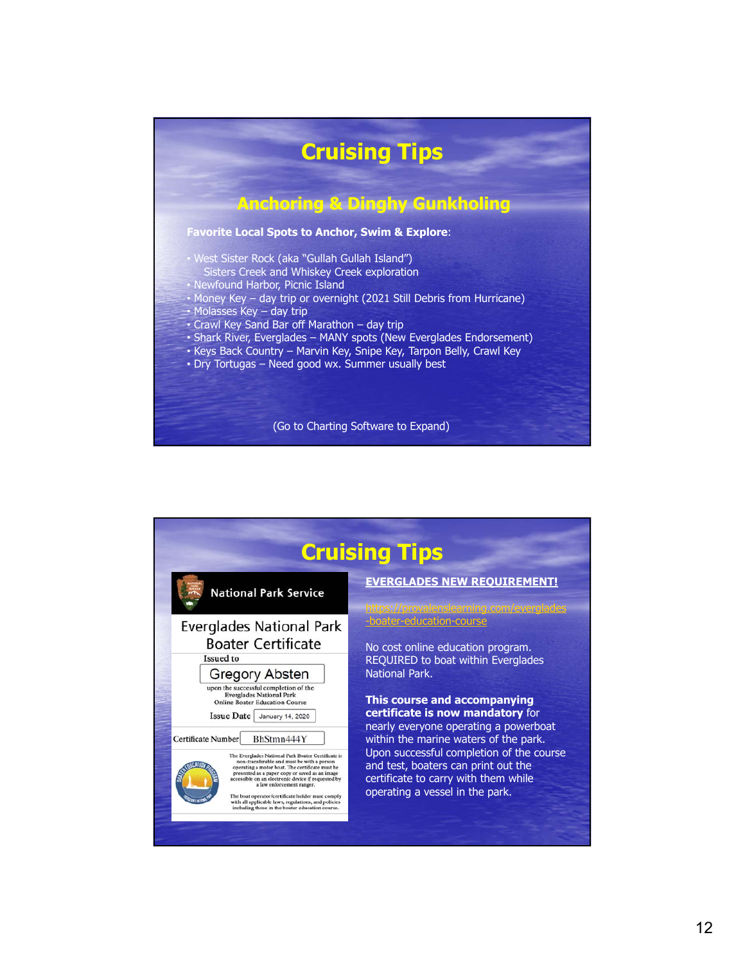

| <b>Cruising Tips</b>                                                                                                                                                                                                                                                                                                                                                                                                                                                                                                                                                                                                                                     |                                                                                                                                                                                                                                                                                                                  |
|----------------------------------------------------------------------------------------------------------------------------------------------------------------------------------------------------------------------------------------------------------------------------------------------------------------------------------------------------------------------------------------------------------------------------------------------------------------------------------------------------------------------------------------------------------------------------------------------------------------------------------------------------------|------------------------------------------------------------------------------------------------------------------------------------------------------------------------------------------------------------------------------------------------------------------------------------------------------------------|
| <b>National Park Service</b>                                                                                                                                                                                                                                                                                                                                                                                                                                                                                                                                                                                                                             | <b>EVERGLADES NEW REQUIREMENT!</b><br><u>://provalenslearning.com/everglades</u>                                                                                                                                                                                                                                 |
| <b>Everglades National Park</b>                                                                                                                                                                                                                                                                                                                                                                                                                                                                                                                                                                                                                          | -boater-education-course                                                                                                                                                                                                                                                                                         |
| <b>Boater Certificate</b>                                                                                                                                                                                                                                                                                                                                                                                                                                                                                                                                                                                                                                | No cost online education program.                                                                                                                                                                                                                                                                                |
| Issued to                                                                                                                                                                                                                                                                                                                                                                                                                                                                                                                                                                                                                                                | REQUIRED to boat within Everglades                                                                                                                                                                                                                                                                               |
| <b>Gregory Absten</b>                                                                                                                                                                                                                                                                                                                                                                                                                                                                                                                                                                                                                                    | National Park.                                                                                                                                                                                                                                                                                                   |
| upon the successful completion of the<br><b>Everglades National Park</b><br><b>Online Boater Education Course</b><br><b>Issue Date</b><br>January 14, 2020<br>BhStmn444Y<br>Certificate Number<br>The Everglades National Park Boater Certificate is<br>non-transferable and must be with a person<br>operating a motor boat. The certificate must be<br>presented as a paper copy or saved as an image<br>accessible on an electronic device if requested by<br>a law enforcement ranger.<br>The boat operator/certificate holder must comply<br>with all applicable laws, regulations, and policies<br>including those in the boater education course. | This course and accompanying<br>certificate is now mandatory for<br>nearly everyone operating a powerboat<br>within the marine waters of the park.<br>Upon successful completion of the course<br>and test, boaters can print out the<br>certificate to carry with them while<br>operating a vessel in the park. |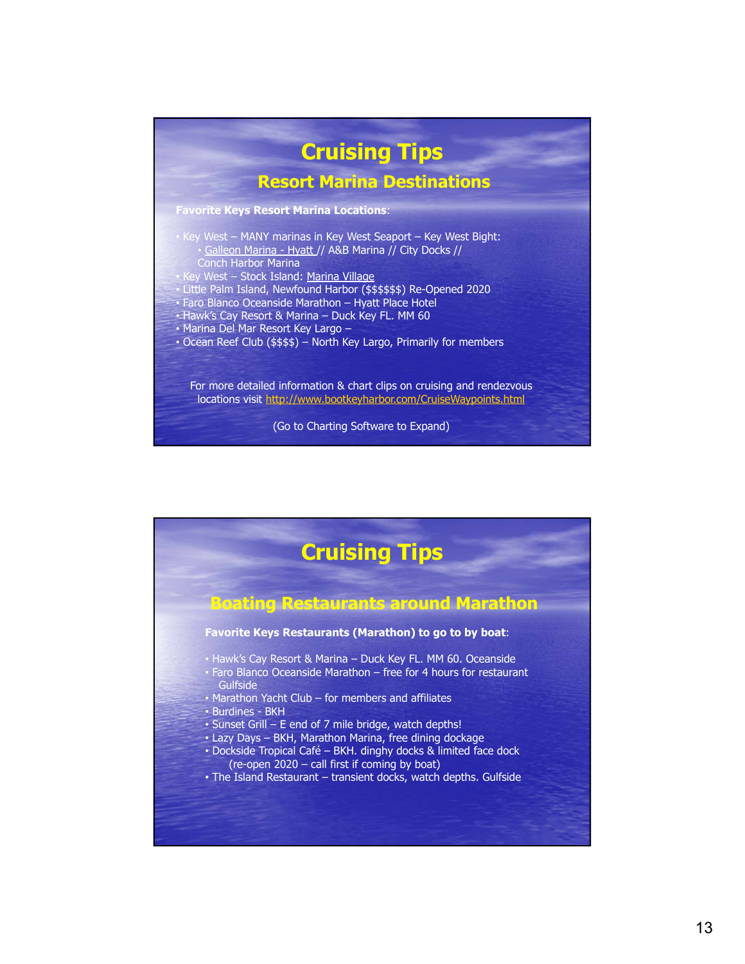

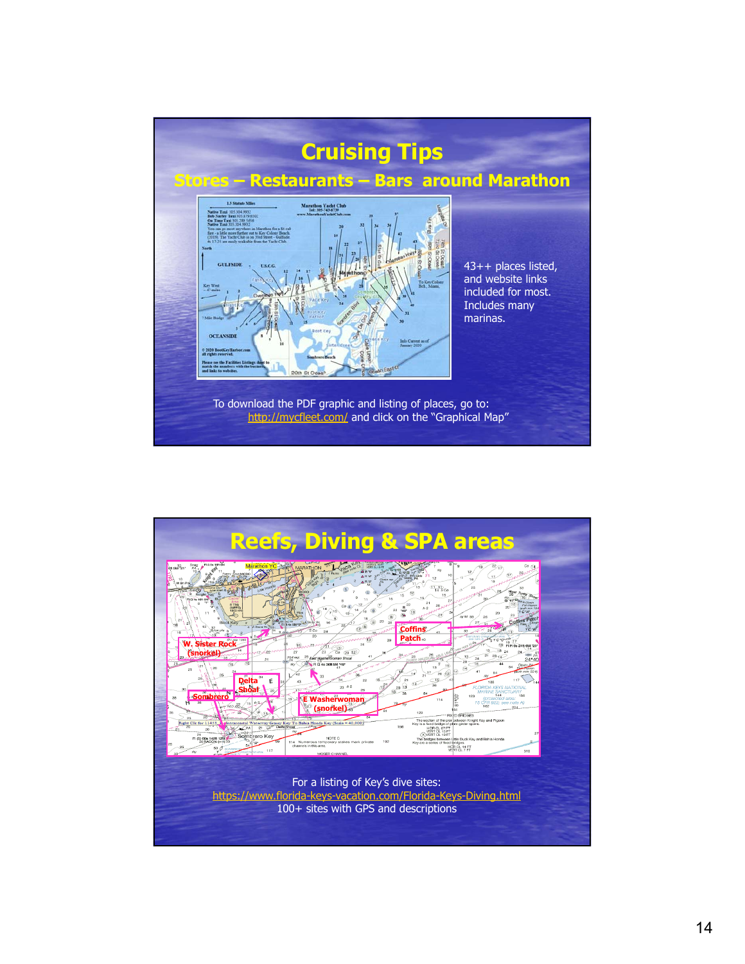

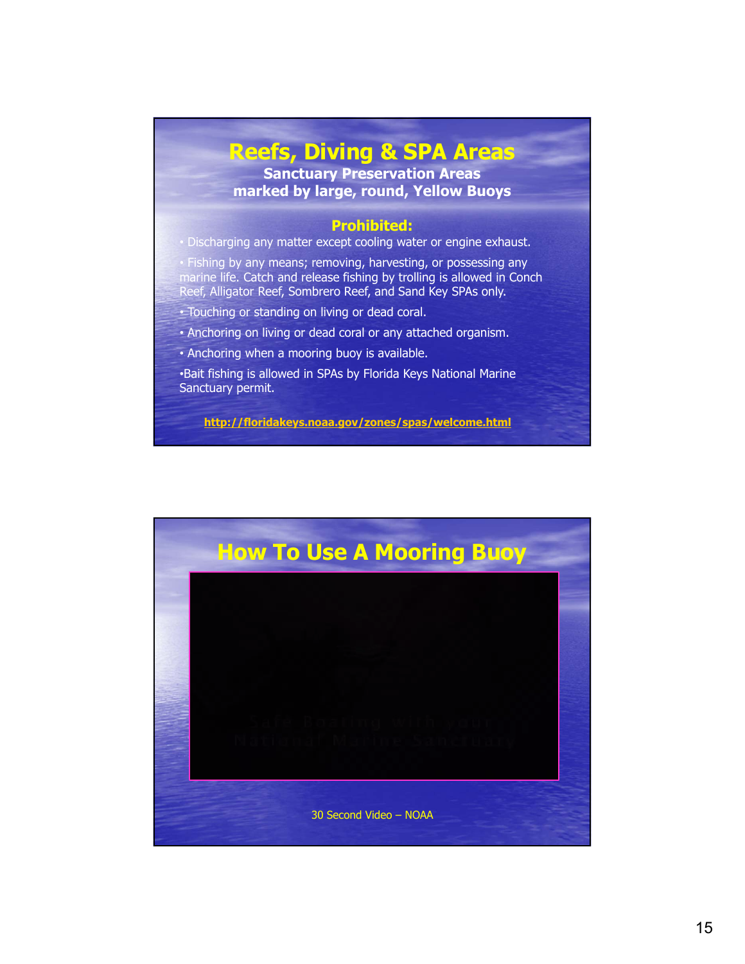## **Reefs, Diving & SPA Areas**

**Sanctuary Preservation Areas marked by large, round, Yellow Buoys**

#### **Prohibited:**

• Discharging any matter except cooling water or engine exhaust.

• Fishing by any means; removing, harvesting, or possessing any marine life. Catch and release fishing by trolling is allowed in Conch Reef, Alligator Reef, Sombrero Reef, and Sand Key SPAs only.

• Touching or standing on living or dead coral.

• Anchoring on living or dead coral or any attached organism.

• Anchoring when a mooring buoy is available.

•Bait fishing is allowed in SPAs by Florida Keys National Marine Sanctuary permit.

**http://floridakeys.noaa.gov/zones/spas/welcome.html**

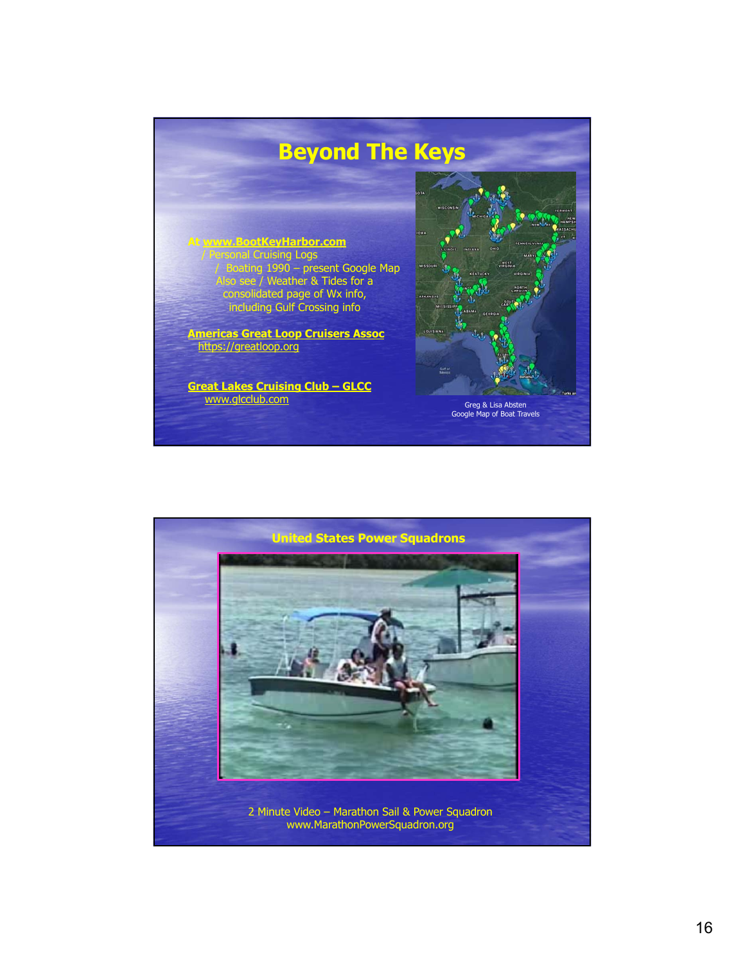